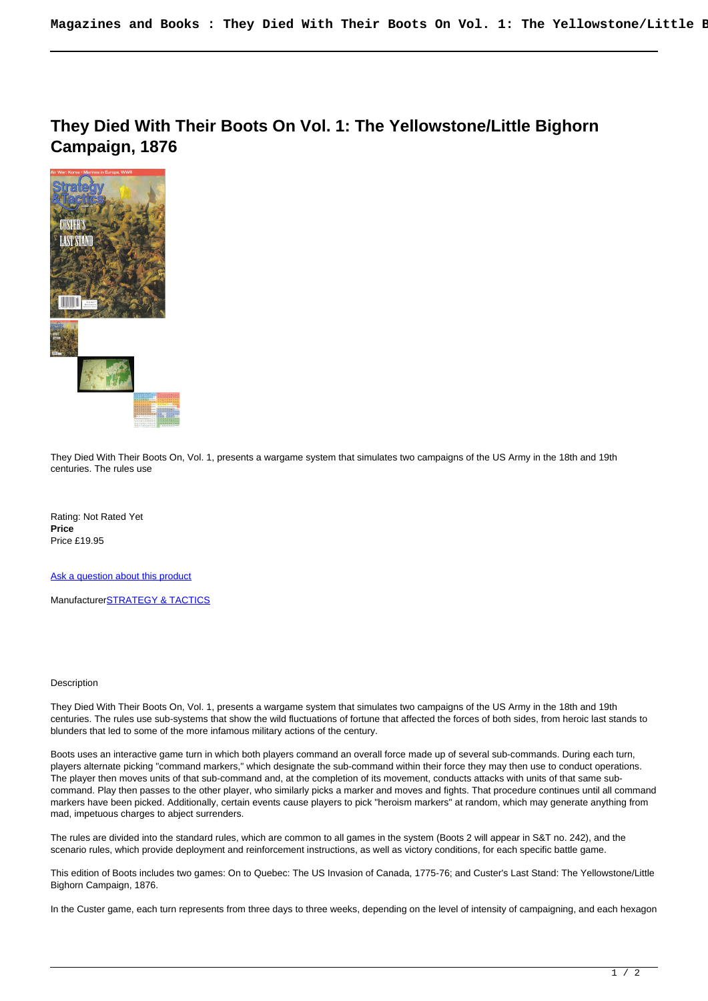**They Died With Their Boots On Vol. 1: The Yellowstone/Little Bighorn Campaign, 1876** 



They Died With Their Boots On, Vol. 1, presents a wargame system that simulates two campaigns of the US Army in the 18th and 19th centuries. The rules use

Rating: Not Rated Yet **Price**  Price £19.95

[Ask a question about this product](https://www.secondchancegames.com/index.php?option=com_virtuemart&view=productdetails&task=askquestion&virtuemart_product_id=7507&virtuemart_category_id=25&tmpl=component)

Manufacturer[STRATEGY & TACTICS](https://www.secondchancegames.com/index.php?option=com_virtuemart&view=manufacturer&virtuemart_manufacturer_id=2619&tmpl=component)

## Description

They Died With Their Boots On, Vol. 1, presents a wargame system that simulates two campaigns of the US Army in the 18th and 19th centuries. The rules use sub-systems that show the wild fluctuations of fortune that affected the forces of both sides, from heroic last stands to blunders that led to some of the more infamous military actions of the century.

Boots uses an interactive game turn in which both players command an overall force made up of several sub-commands. During each turn, players alternate picking "command markers," which designate the sub-command within their force they may then use to conduct operations. The player then moves units of that sub-command and, at the completion of its movement, conducts attacks with units of that same subcommand. Play then passes to the other player, who similarly picks a marker and moves and fights. That procedure continues until all command markers have been picked. Additionally, certain events cause players to pick "heroism markers" at random, which may generate anything from mad, impetuous charges to abject surrenders.

The rules are divided into the standard rules, which are common to all games in the system (Boots 2 will appear in S&T no. 242), and the scenario rules, which provide deployment and reinforcement instructions, as well as victory conditions, for each specific battle game.

This edition of Boots includes two games: On to Quebec: The US Invasion of Canada, 1775-76; and Custer's Last Stand: The Yellowstone/Little Bighorn Campaign, 1876.

In the Custer game, each turn represents from three days to three weeks, depending on the level of intensity of campaigning, and each hexagon